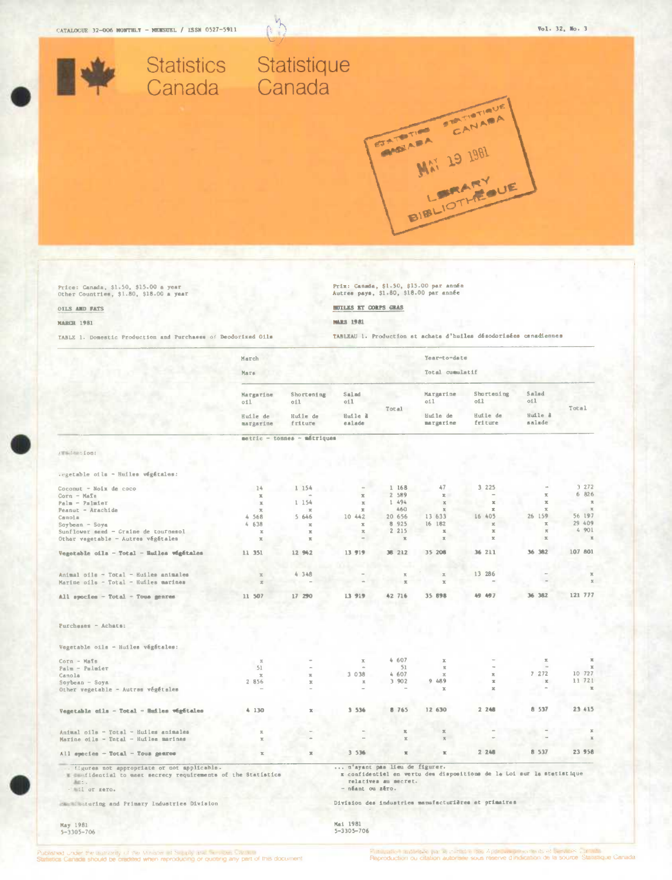

 $\overline{r}$ 

Ġ.

Price: Canada, \$1.50, \$15.00 a year<br>Other Countries, \$1.80, \$18.00 a year

## OILS AND FATS

#### **MARCH 1981**

TABLE 1. Domestic Production and Purchases of Deodorized Oils

Prix: Canmda, \$1.50, \$15.00 par année<br>Autres pays, \$1.80, \$18.00 par année

#### **BUILES ET CORPS GRAS**

#### **MARS 1981**

TABLEAU 1. Production at achata d'huiles désodorisées canadiennes

|                                                                                                             | March<br>Mars                 |                             |                              |                              | Year-to-date<br>Total cumulatif |                                                                       |                   |                       |
|-------------------------------------------------------------------------------------------------------------|-------------------------------|-----------------------------|------------------------------|------------------------------|---------------------------------|-----------------------------------------------------------------------|-------------------|-----------------------|
|                                                                                                             | Margarine<br>011              | Shortening<br>c11           | Salad<br>oil                 | Total                        | Margarine<br>011                | Shortening<br>011                                                     | Salad<br>oil      | Total                 |
|                                                                                                             | Huile de<br>margarine         | Huile de<br>friture         | Huile l<br>salade            |                              | Huile de<br>margarine           | Huile de<br>friture                                                   | Huile à<br>salade |                       |
|                                                                                                             |                               | metric - tonnes - métriques |                              |                              |                                 |                                                                       |                   |                       |
| Francisco (1001)                                                                                            |                               |                             |                              |                              |                                 |                                                                       |                   |                       |
| Vegetable of la - Huiles végétales:                                                                         |                               |                             |                              |                              |                                 |                                                                       |                   |                       |
| Coconut - Noix de coco                                                                                      | 14                            | 1 154                       |                              | 1 168                        | 47                              | 3.225                                                                 |                   | 3 272                 |
| $Corn - Mark$                                                                                               | $\mathbbm{R}$                 |                             | $\mathbb{X}$                 | 2 589                        | $\mathbb{R}$                    |                                                                       | $\mathbf x$       | 6 826                 |
| Palm - Palmier                                                                                              | $\mathbbm{K}$                 | 1 154                       | $\mathbbm{K}$                | 1 494                        | $\mathbb{X}$                    | $\mathbf x$                                                           | $\mathcal{K}$     | $\pi$                 |
| Peanut - Arachide                                                                                           | $\mathbf{x}$                  | $\mathbf x$                 | $\equiv$                     | 460                          | $\mathbb{R}$                    | $\mathbf x$                                                           |                   | $\mathcal{H}$         |
| Canola                                                                                                      | 4 568                         | 5646                        | 10 442                       | 20 656                       | 13 633                          | 16 405                                                                | 26 159            | 56 197                |
| Soybean - Soya                                                                                              | $f_{\rm I}$<br>638            | $\mathbf{x}$                | $\mathcal{R}$                | 8 9 2 5                      | 16 182                          | $\rm X$                                                               | $\mathbbm{K}$     | 29 409                |
| Sunflower seed - Graine de tournesol                                                                        | $\mathbf x$                   | $\mathbf x$                 | $\mathcal{R}$                | 2 215                        | $\boldsymbol{\underline{\pi}}$  | $\mathbf{x}$                                                          | $\pi$             | 4 901                 |
| Other vegetable - Autres végétales                                                                          | $\mathbbm{K}$                 | $\overline{\mathcal{H}}$    | <b>COL</b>                   | $\mathbf x$                  | $\mathbb{X}$                    | $\mathbbm{X}$                                                         | $\infty$          | $\mathbf x$           |
| Vegetable cila - Total - Huiles wigitales                                                                   | 11 351                        | 12 942                      | 13 919                       | 36 212                       | 35 206                          | 36 211                                                                | 36 382            | 107 801               |
|                                                                                                             |                               |                             |                              |                              |                                 |                                                                       |                   |                       |
| Animal oils - Total - Huiles animales                                                                       | $\mathbb{R}$                  | 4 348                       |                              | $\overline{\mathcal{N}}$     | $\mathbb X$                     | 13 286                                                                |                   | $\mathbb{R}$          |
| Marine oils - Total - Huiles marines                                                                        | $\mathcal{R}$                 |                             |                              | $\mathbbm{Z}$                | $\mathbb{X}$                    |                                                                       |                   | $\mathbb{X}$          |
| All species - Total - Tous genres                                                                           | 11 507                        | 17 290                      | 13 919                       | 42 716                       | 35 898                          | 49 497                                                                | 36 382            | 121 777               |
| $Purcheses - Achats:$                                                                                       |                               |                             |                              |                              |                                 |                                                                       |                   |                       |
| Vegetable oils - Huiles végétales:                                                                          |                               |                             |                              |                              |                                 |                                                                       |                   |                       |
| Corn - Mafs                                                                                                 | $3\%$                         |                             | $\mathbf x$                  | 4607                         | $\mathcal{R}$                   |                                                                       | $\mathbb{X}$      | $\mathbb{R}$          |
| $P$ alm - $P$ almier                                                                                        | 51                            |                             |                              | 51                           | $\overline{\rm{sc}}$            |                                                                       |                   | $\mathcal{M}$         |
| Canola                                                                                                      | $\mathbf x$                   | $\mathbb R$                 | 3 0 38                       | 4 607                        | $\mathbb{X}$                    | $\bar{\mathbf{x}}$                                                    | 7272              | 10 727                |
| $Soybean - Soya$                                                                                            | 2 856                         | x                           | $\mathcal{R}$                | 3 9 0 2                      | 9.489                           | $\propto$                                                             | $\mathbf x$       | 11 721                |
| Other vegetable - Autras végétales                                                                          |                               |                             |                              |                              | $\mathbf{x}$                    | $\mathbf{x}$                                                          |                   | $\mathbb R$           |
| Vegetable oils - Total - Huiles végétales                                                                   | 4 130                         | $\mathbb{R}$                | 3 536                        | 8 765                        | 12 630                          | 2.248                                                                 | 8 5 3 7           | 23 415                |
|                                                                                                             |                               |                             |                              | $\mathbbm{K}$                | $\mathbf{x}$                    |                                                                       |                   | $\boldsymbol{\times}$ |
| Animal oils - Total - Huiles animales<br>Marine oils - Tntal - Huiles marines                               | $\mathbb{R}$<br>$\mathbbm{K}$ |                             |                              | $\boldsymbol{\underline{v}}$ | $\mathbb{R}$                    |                                                                       |                   | $\mathbf{x}$          |
| All species - Total - Tous genres                                                                           | $\mathbb{R}$                  | $\mathbb R$                 | 3 5 3 6                      | $\overline{\mathbf{x}}$      | $\mathbbm{K}$                   | 2.248                                                                 | 8 537             | 23 958                |
| figures not appropriate or not applicable.<br>I confidential to meet secrecy requirements of the Statistics |                               |                             | n'ayant pas lieu de figurer. |                              |                                 | x confidentiel en vertu des dispositions de le Loi sur la stetistique |                   |                       |
| Act.<br>- ail or sero.                                                                                      |                               |                             | - néant ou zéro.             | relatives au secret.         |                                 |                                                                       |                   |                       |
| Manufacturing and Primary Industries Division                                                               |                               |                             |                              |                              |                                 | Division des industries manufacturières et primaires                  |                   |                       |
| May 1981<br>$5 - 3305 - 706$                                                                                |                               |                             | Mai 1981<br>$5 - 3305 - 706$ |                              |                                 |                                                                       |                   |                       |

May 1981<br>5-3305-706

ubished under the authority of the Minister at Supply and Services Capture<br>tatistics Canada should be cradited when reproducing or quoting any part of this document.